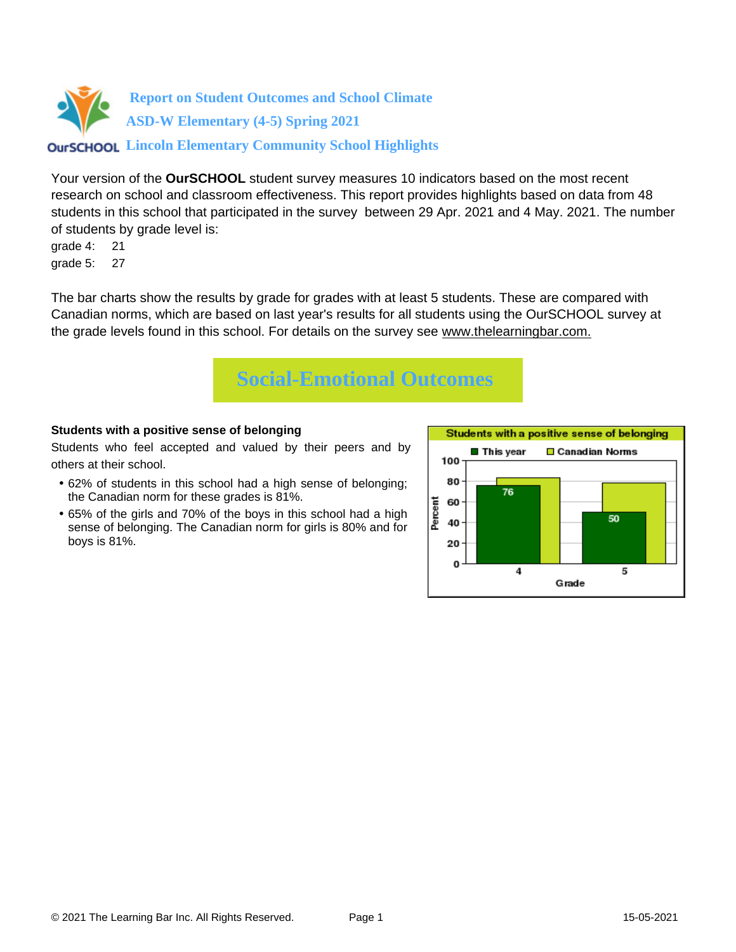

Your version of the **OurSCHOOL** student survey measures 10 indicators based on the most recent research on school and classroom effectiveness. This report provides highlights based on data from 48 students in this school that participated in the survey between 29 Apr. 2021 and 4 May. 2021. The number of students by grade level is:

grade 4: 21 grade 5: 27

The bar charts show the results by grade for grades with at least 5 students. These are compared with Canadian norms, which are based on last year's results for all students using the OurSCHOOL survey at the grade levels found in this school. For details on the survey see [www.thelearningbar.com.](www.thelearningbar.com)



#### **Students with a positive sense of belonging**

Students who feel accepted and valued by their peers and by others at their school.

- 62% of students in this school had a high sense of belonging; the Canadian norm for these grades is 81%.
- 65% of the girls and 70% of the boys in this school had a high sense of belonging. The Canadian norm for girls is 80% and for boys is 81%.

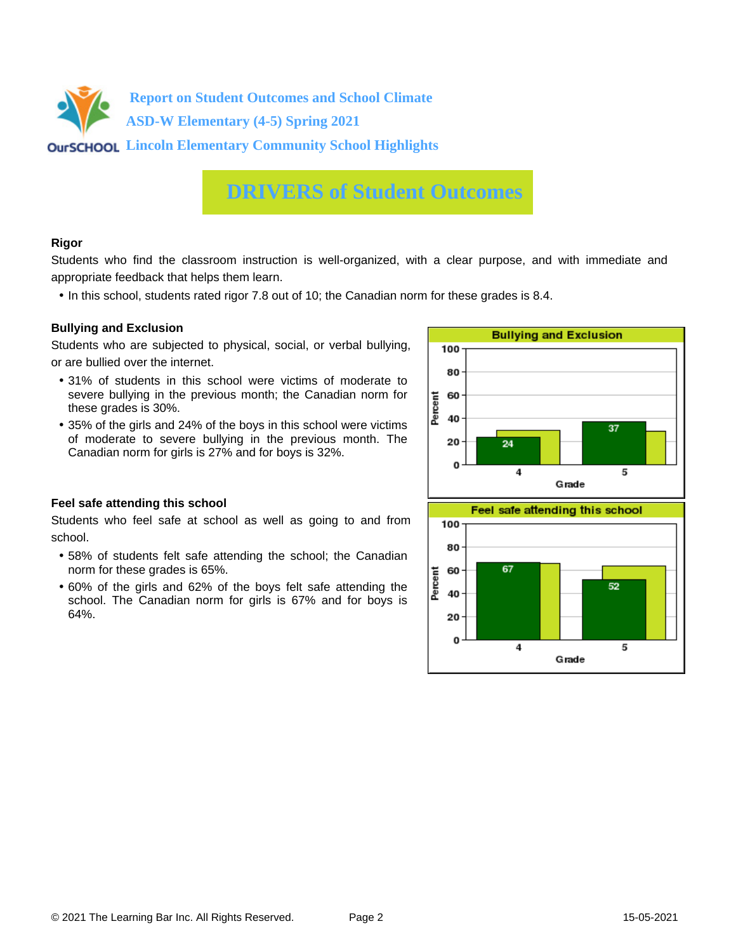

### **DRIVERS of Student Outcomes**

#### **Rigor**

Students who find the classroom instruction is well-organized, with a clear purpose, and with immediate and appropriate feedback that helps them learn.

• In this school, students rated rigor 7.8 out of 10; the Canadian norm for these grades is 8.4.

#### **Bullying and Exclusion**

Students who are subjected to physical, social, or verbal bullying, or are bullied over the internet.

- 31% of students in this school were victims of moderate to severe bullying in the previous month; the Canadian norm for these grades is 30%.
- 35% of the girls and 24% of the boys in this school were victims of moderate to severe bullying in the previous month. The Canadian norm for girls is 27% and for boys is 32%.



#### **Feel safe attending this school**

Students who feel safe at school as well as going to and from school.

- 58% of students felt safe attending the school; the Canadian norm for these grades is 65%.
- 60% of the girls and 62% of the boys felt safe attending the school. The Canadian norm for girls is 67% and for boys is 64%.

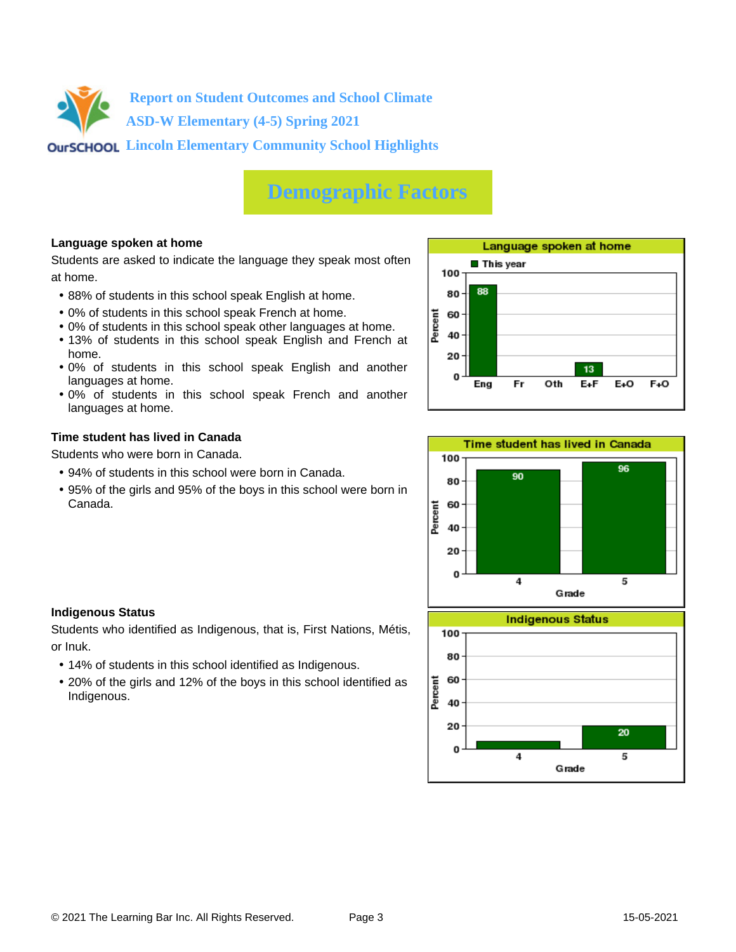

# **Demographic Factors**

#### **Language spoken at home**

Students are asked to indicate the language they speak most often at home.

- 88% of students in this school speak English at home.
- 0% of students in this school speak French at home.
- 0% of students in this school speak other languages at home.
- 13% of students in this school speak English and French at home.
- 0% of students in this school speak English and another languages at home.
- 0% of students in this school speak French and another languages at home.

#### **Time student has lived in Canada**

Students who were born in Canada.

- 94% of students in this school were born in Canada.
- 95% of the girls and 95% of the boys in this school were born in Canada.





#### **Indigenous Status**

Students who identified as Indigenous, that is, First Nations, Métis, or Inuk.

- 14% of students in this school identified as Indigenous.
- 20% of the girls and 12% of the boys in this school identified as Indigenous.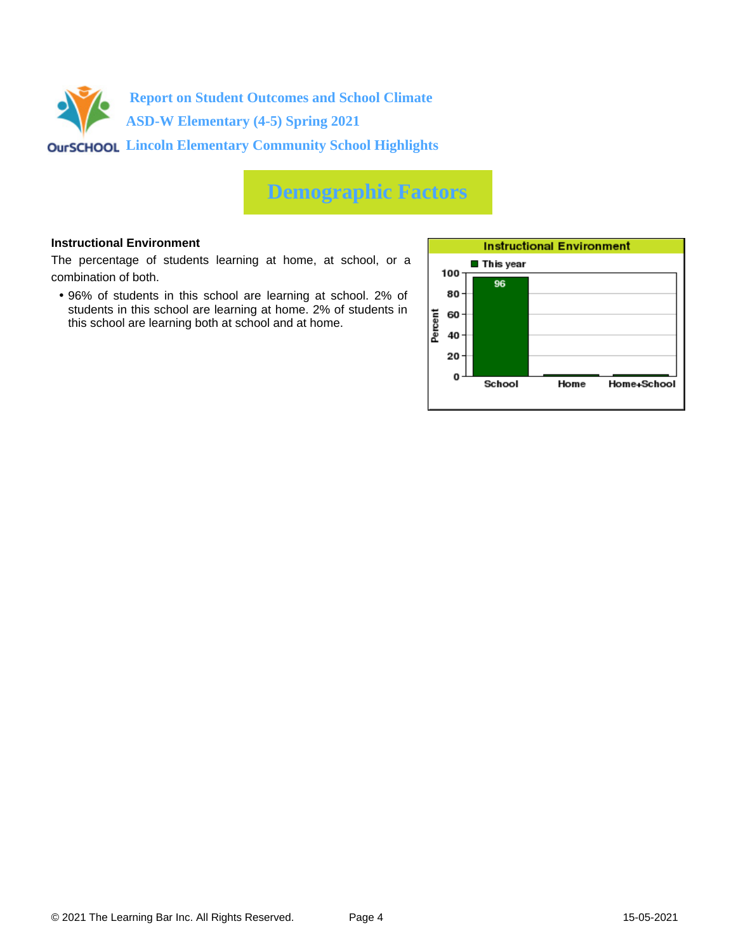

# **Demographic Factors**

#### **Instructional Environment**

The percentage of students learning at home, at school, or a combination of both.

• 96% of students in this school are learning at school. 2% of students in this school are learning at home. 2% of students in this school are learning both at school and at home.

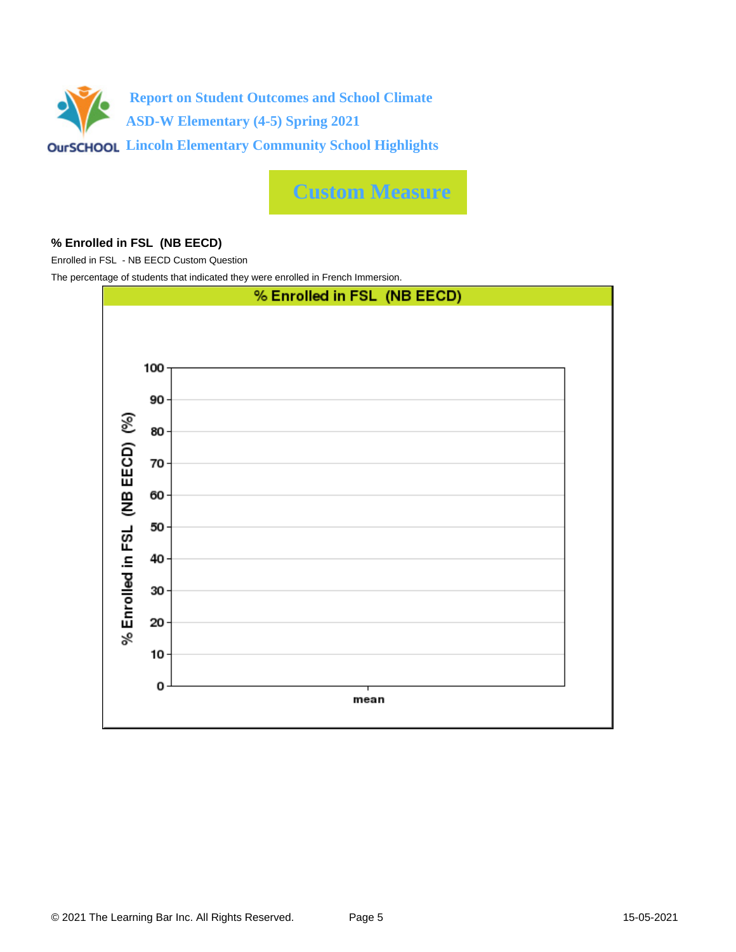

**Custom Measure**

#### **% Enrolled in FSL (NB EECD)**

Enrolled in FSL - NB EECD Custom Question

The percentage of students that indicated they were enrolled in French Immersion.

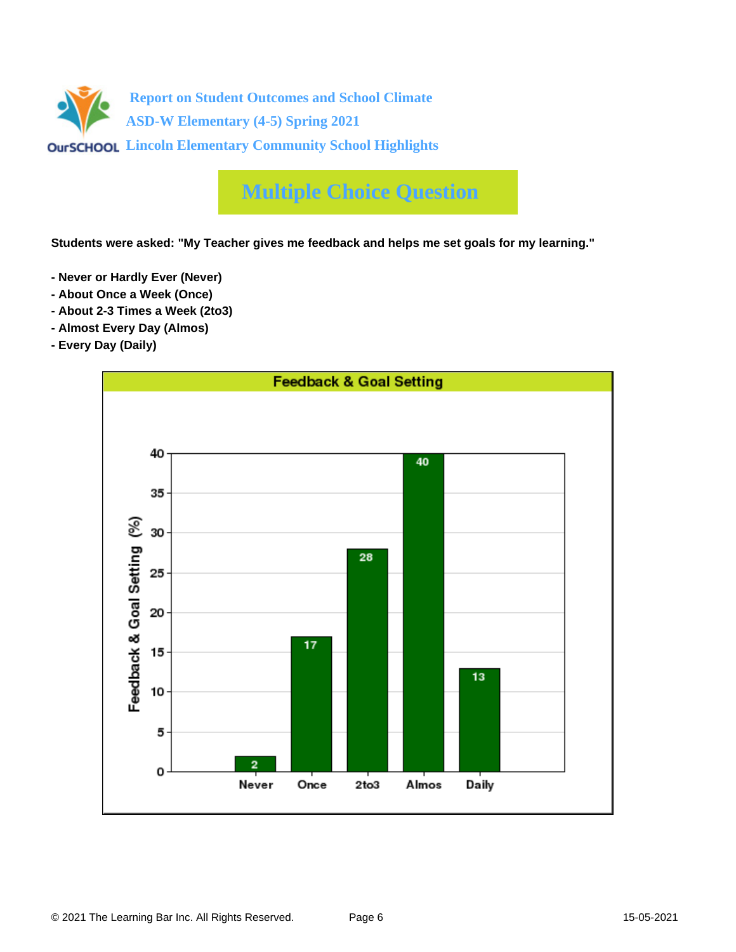

# **Multiple Choice Question**

**Students were asked: "My Teacher gives me feedback and helps me set goals for my learning."**

- **Never or Hardly Ever (Never)**
- **About Once a Week (Once)**
- **About 2-3 Times a Week (2to3)**
- **Almost Every Day (Almos)**
- **Every Day (Daily)**